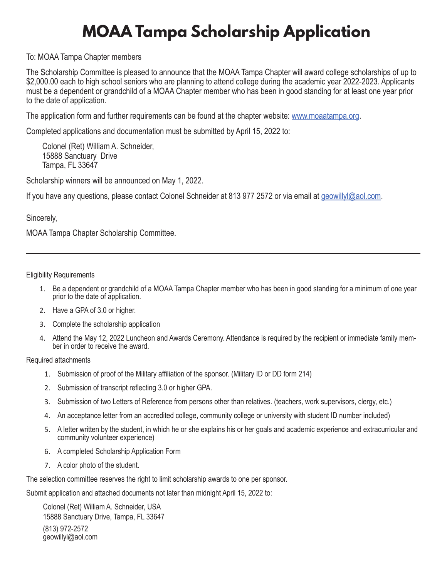## **MOAA Tampa Scholarship Application**

## To: MOAA Tampa Chapter members

The Scholarship Committee is pleased to announce that the MOAA Tampa Chapter will award college scholarships of up to \$2,000.00 each to high school seniors who are planning to attend college during the academic year 2022-2023. Applicants must be a dependent or grandchild of a MOAA Chapter member who has been in good standing for at least one year prior to the date of application.

The application form and further requirements can be found at the chapter website: [www.moaatampa.org](http://www.moaatampa.org).

Completed applications and documentation must be submitted by April 15, 2022 to:

Colonel (Ret) William A. Schneider, 15888 Sanctuary Drive Tampa, FL 33647

Scholarship winners will be announced on May 1, 2022.

If you have any questions, please contact Colonel Schneider at 813 977 2572 or via email at [geowillyl@aol.com.](mailto:geowillyl@aol.com)

Sincerely,

MOAA Tampa Chapter Scholarship Committee.

Eligibility Requirements

- 1. Be a dependent or grandchild of a MOAA Tampa Chapter member who has been in good standing for a minimum of one year prior to the date of application.
- 2. Have a GPA of 3.0 or higher.
- 3. Complete the scholarship application
- 4. Attend the May 12, 2022 Luncheon and Awards Ceremony. Attendance is required by the recipient or immediate family mem- ber in order to receive the award.

Required attachments

- 1. Submission of proof of the Military affiliation of the sponsor. (Military ID or DD form 214)
- 2. Submission of transcript reflecting 3.0 or higher GPA.
- 3. Submission of two Letters of Reference from persons other than relatives. (teachers, work supervisors, clergy, etc.)
- 4. An acceptance letter from an accredited college, community college or university with student ID number included)
- 5. A letter written by the student, in which he or she explains his or her goals and academic experience and extracurricular and community volunteer experience)
- 6. A completed Scholarship Application Form
- 7. A color photo of the student.

The selection committee reserves the right to limit scholarship awards to one per sponsor.

Submit application and attached documents not later than midnight April 15, 2022 to:

Colonel (Ret) William A. Schneider, USA 15888 Sanctuary Drive, Tampa, FL 33647 (813) 972-2572 geowillyl@aol.com